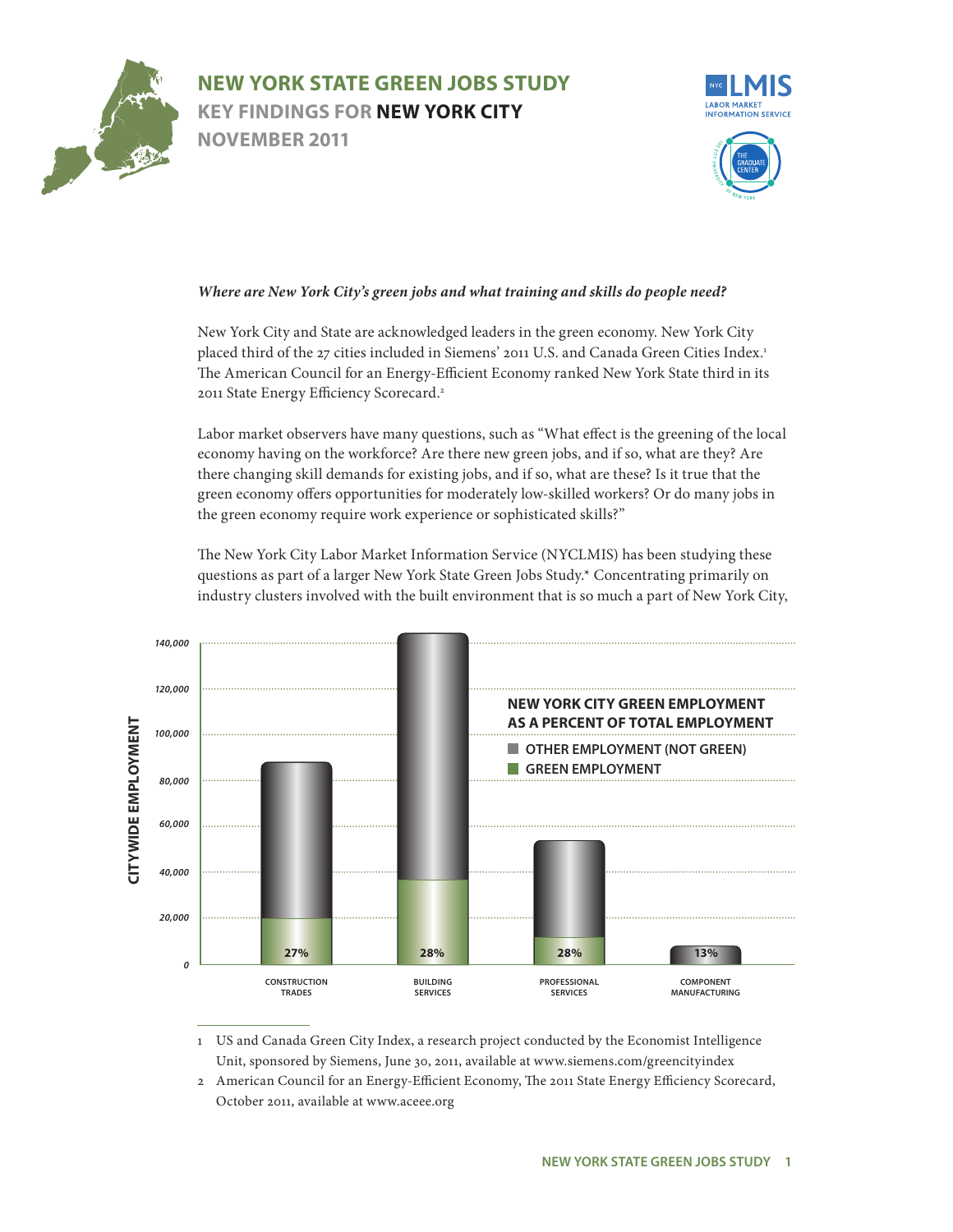



#### .<br>*d what training ar* Where are New York City's green jobs and what training and skills do people need?

New York City and State are acknowledged leaders in the green economy. New York City placed third of the 27 cities included in Siemens' 2011 U.S. and Canada Green Cities Index.<sup>1</sup> **icient Economy rangers** ted New York State The American Council for an Energy-Efficient Economy ranked New York State third in its 2011 State Energy Efficiency Scorecard.2

green economy offers opportunities for moderately low-skilled workers? Or do many jobs in Labor market observers have many questions, such as "What effect is the greening of the local nere new green job there changing skill demands for existing jobs, and if so, what are these? Is it true that the economy having on the workforce? Are there new green jobs, and if so, what are they? Are the green economy require work experience or sophisticated skills?"

The New York City Labor Market Information Service (NYCLMIS) has been studying these questions as part of a larger New York State Green Jobs Study.\* Concentrating primarily on industry clusters involved with the built environment that is so much a part of New York City,



1 US and Canada Green City Index, a research project conducted by the Economist Intelligence Unit, sponsored by Siemens, June 30, 2011, available at www.siemens.com/greencityindex

2 American Council for an Energy-Efficient Economy, The 2011 State Energy Efficiency Scorecard, October 2011, available at www.aceee.org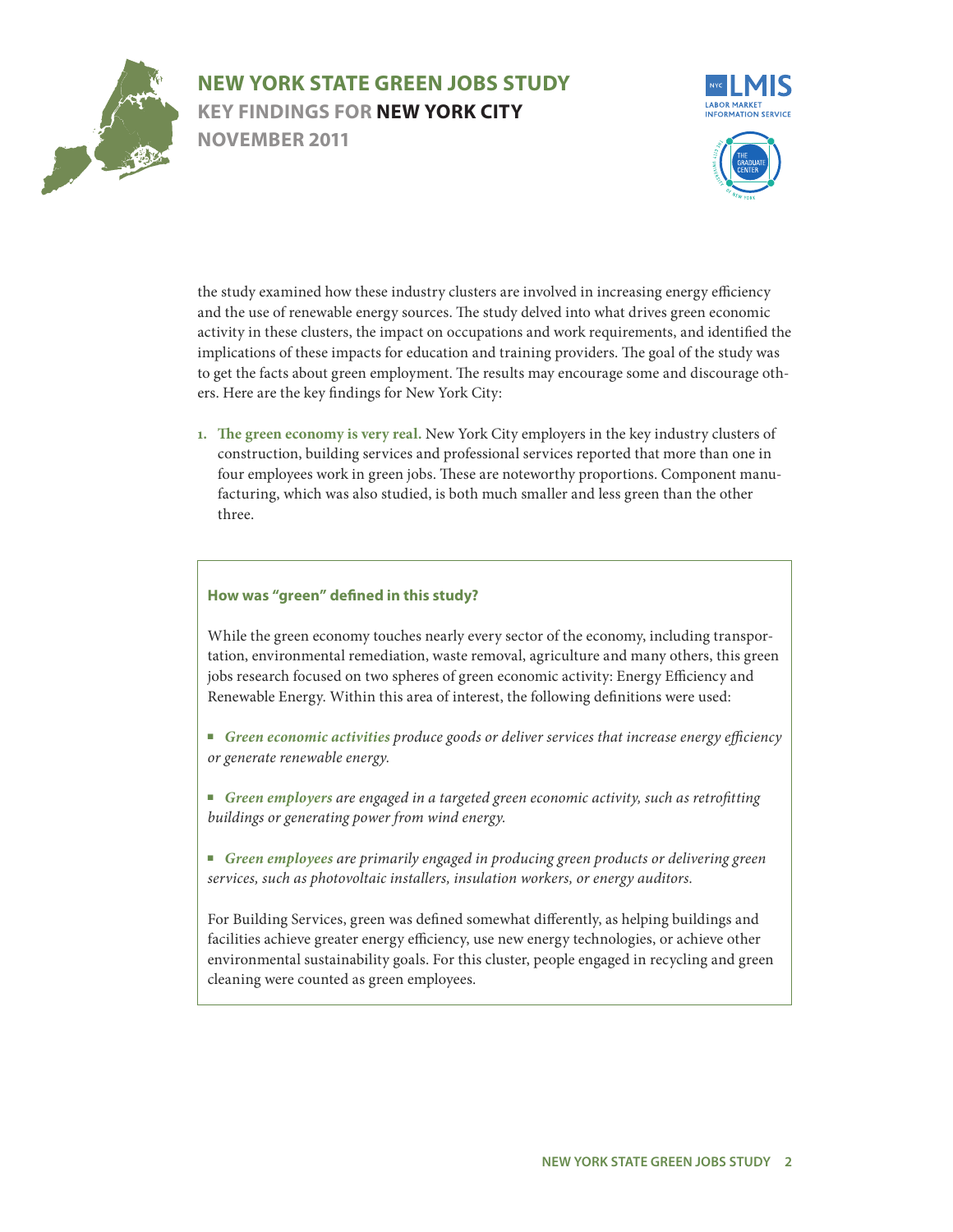



system in 2009. The NYCLMIS identified the ten groups in an earlier report, *Gaug-ing Employment Prospects in New York City,*  and the use of renewable energy sources. The study delved into what drives green economic activity in these clusters, the impact on occupations and work requirements, and identified the implications of these impacts for education and training providers. The goal of the study was The results may er ers. Here are the key findings for New York City: the study examined how these industry clusters are involved in increasing energy efficiency ourage some and d to get the facts about green employment. The results may encourage some and discourage othengaged in retail sales

facturing, which was also studied, is both much smaller and less green than the other 1. The green economy is very real. New York City employers in the key industry clusters of construction, building services and professional services reported that more than one in four employees work in green jobs. These are noteworthy proportions. Component manuthree.

#### **How was "green" defined in this study?**

While the green economy touches nearly every sector of the economy, including transportation, environmental remediation, waste removal, agriculture and many others, this green jobs research focused on two spheres of green economic activity: Energy Efficiency and Renewable Energy. Within this area of interest, the following definitions were used:

- Green economic activities produce goods or deliver services that increase energy efficiency *or generate renewable energy.*
- *Green employers are engaged in a targeted green economic activity, such as retrofitting buildings or generating power from wind energy.*
- Green employees are primarily engaged in producing green products or delivering green *services, such as photovoltaic installers, insulation workers, or energy auditors.*

For Building Services, green was defined somewhat differently, as helping buildings and facilities achieve greater energy efficiency, use new energy technologies, or achieve other environmental sustainability goals. For this cluster, people engaged in recycling and green cleaning were counted as green employees.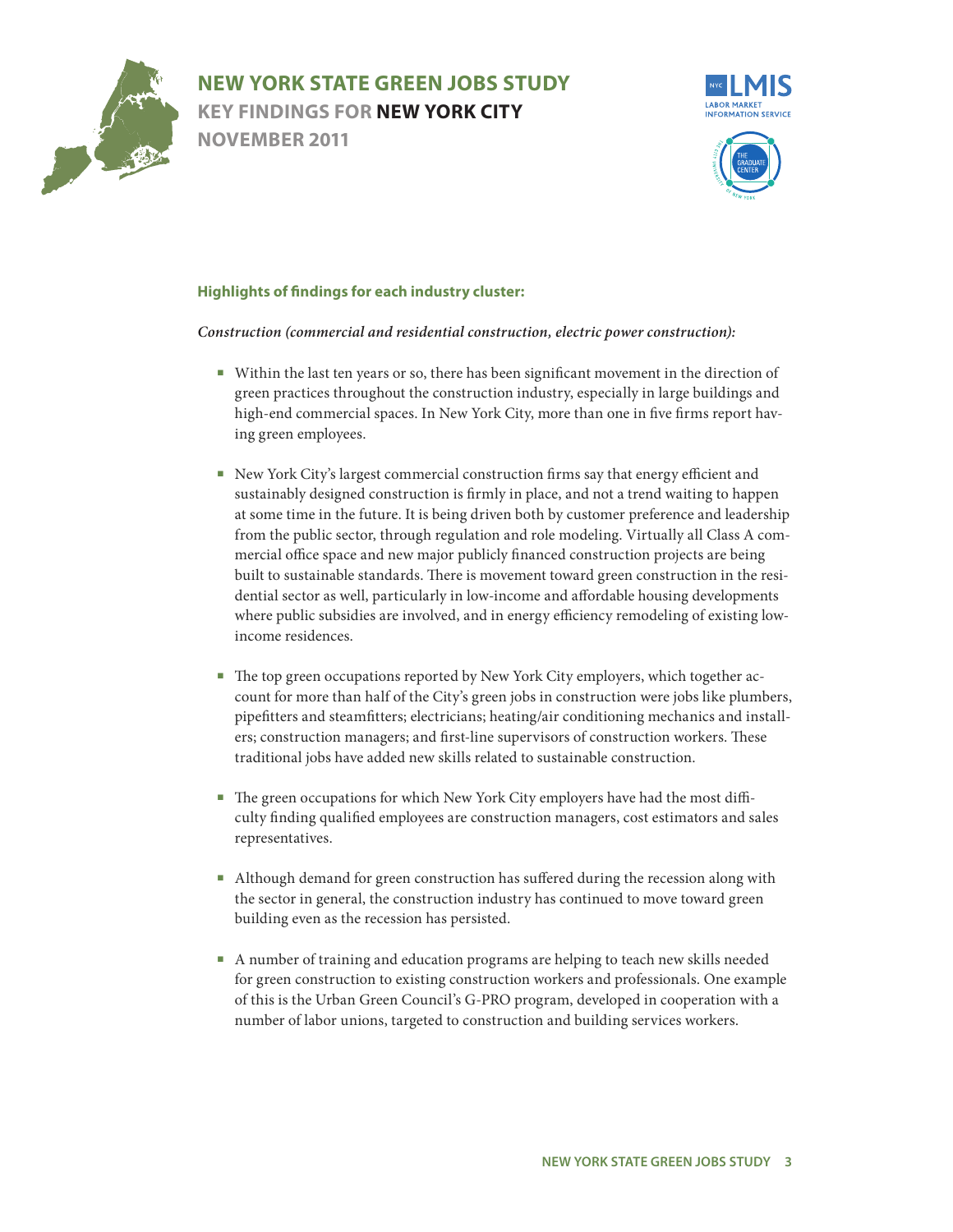



### system in 2009. The NYCLMIS identified the ten groups in an earlier report, *Gaug-ing Employment Prospects in New York City,*  **Highlights of findings for each industry cluster:**

### Construction (commercial and residential construction, electric power construction):

- re has been signific struction industry, especially in large b high-end commercial spaces. In New York City, more than one in five firms report havnt movement in the ■ Within the last ten years or so, there has been significant movement in the direction of green practices throughout the construction industry, especially in large buildings and ing green employees.
- sustainably designed construction is firmly in place, and not a trend waiting to happen ■ New York City's largest commercial construction firms say that energy efficient and at some time in the future. It is being driven both by customer preference and leadership from the public sector, through regulation and role modeling. Virtually all Class A commercial office space and new major publicly financed construction projects are being built to sustainable standards. There is movement toward green construction in the residential sector as well, particularly in low-income and affordable housing developments where public subsidies are involved, and in energy efficiency remodeling of existing lowincome residences.
- The top green occupations reported by New York City employers, which together account for more than half of the City's green jobs in construction were jobs like plumbers, pipefitters and steamfitters; electricians; heating/air conditioning mechanics and installers; construction managers; and first-line supervisors of construction workers. These traditional jobs have added new skills related to sustainable construction.
- The green occupations for which New York City employers have had the most difficulty finding qualified employees are construction managers, cost estimators and sales representatives.
- Although demand for green construction has suffered during the recession along with the sector in general, the construction industry has continued to move toward green building even as the recession has persisted.
- A number of training and education programs are helping to teach new skills needed for green construction to existing construction workers and professionals. One example of this is the Urban Green Council's G-PRO program, developed in cooperation with a number of labor unions, targeted to construction and building services workers.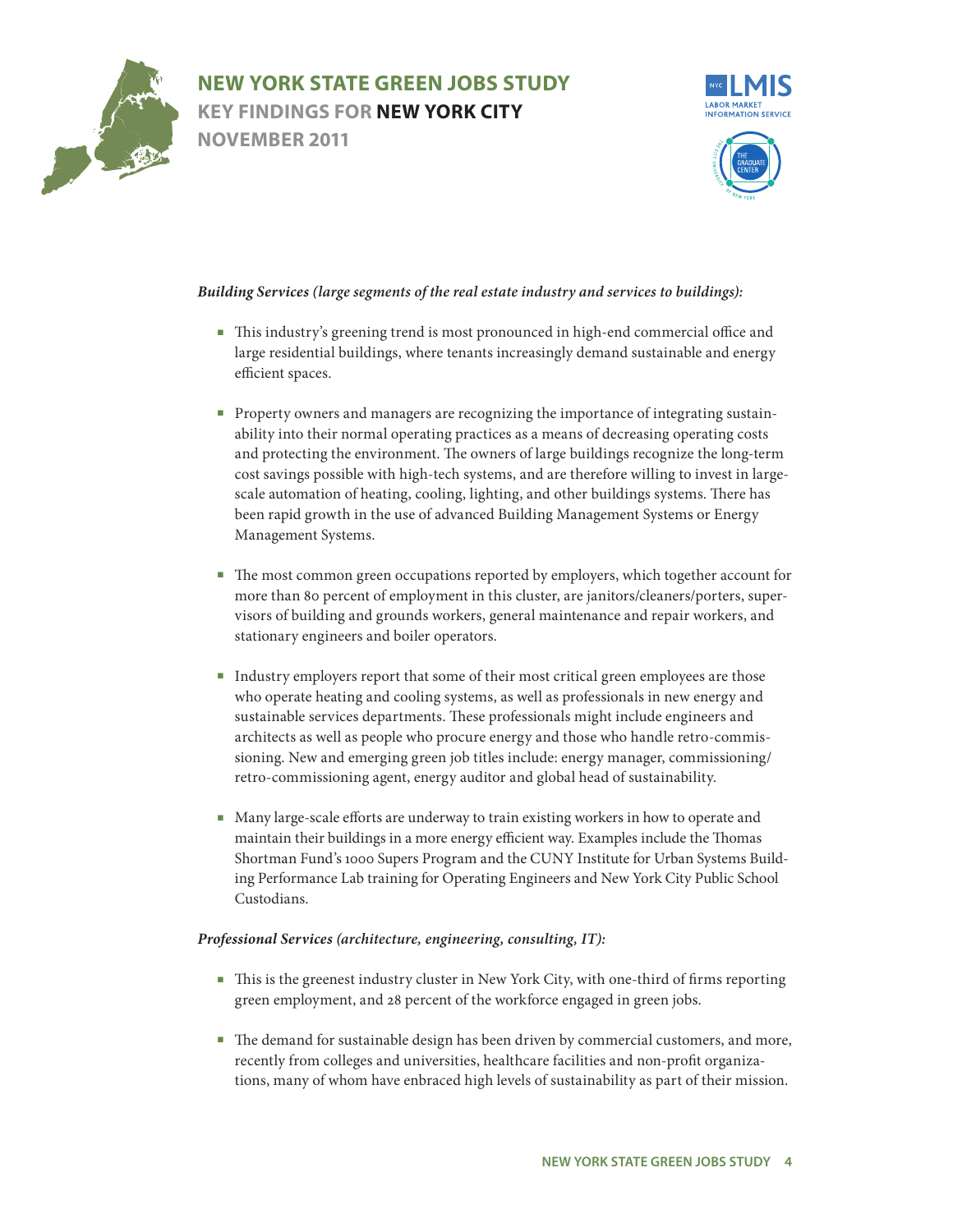



#### real estate industry Building Services (large segments of the real estate industry and services to buildings):

- This industry's greening trend is most pronounced in high-end commercial office and large residential buildings, where tenants increasingly demand sustainable and energy This profile is meant to help *account*  efficient spaces.
- scale automation of heating, cooling, lighting, and other buildings systems. There has Property owners and managers are recognizing the importance of integrating sustainability into their normal operating practices as a means of decreasing operating costs .<br>1e owners of large l cost savings possible with high-tech systems, and are therefore willing to invest in largeand protecting the environment. The owners of large buildings recognize the long-term been rapid growth in the use of advanced Building Management Systems or Energy Management Systems.
- The most common green occupations reported by employers, which together account for more than 80 percent of employment in this cluster, are janitors/cleaners/porters, supervisors of building and grounds workers, general maintenance and repair workers, and stationary engineers and boiler operators.
- Industry employers report that some of their most critical green employees are those who operate heating and cooling systems, as well as professionals in new energy and sustainable services departments. These professionals might include engineers and architects as well as people who procure energy and those who handle retro-commissioning. New and emerging green job titles include: energy manager, commissioning/ retro-commissioning agent, energy auditor and global head of sustainability.
- Many large-scale efforts are underway to train existing workers in how to operate and maintain their buildings in a more energy efficient way. Examples include the Thomas Shortman Fund's 1000 Supers Program and the CUNY Institute for Urban Systems Building Performance Lab training for Operating Engineers and New York City Public School Custodians.

### *Professional Services (architecture, engineering, consulting, IT):*

- This is the greenest industry cluster in New York City, with one-third of firms reporting green employment, and 28 percent of the workforce engaged in green jobs.
- The demand for sustainable design has been driven by commercial customers, and more, recently from colleges and universities, healthcare facilities and non-profit organizations, many of whom have enbraced high levels of sustainability as part of their mission.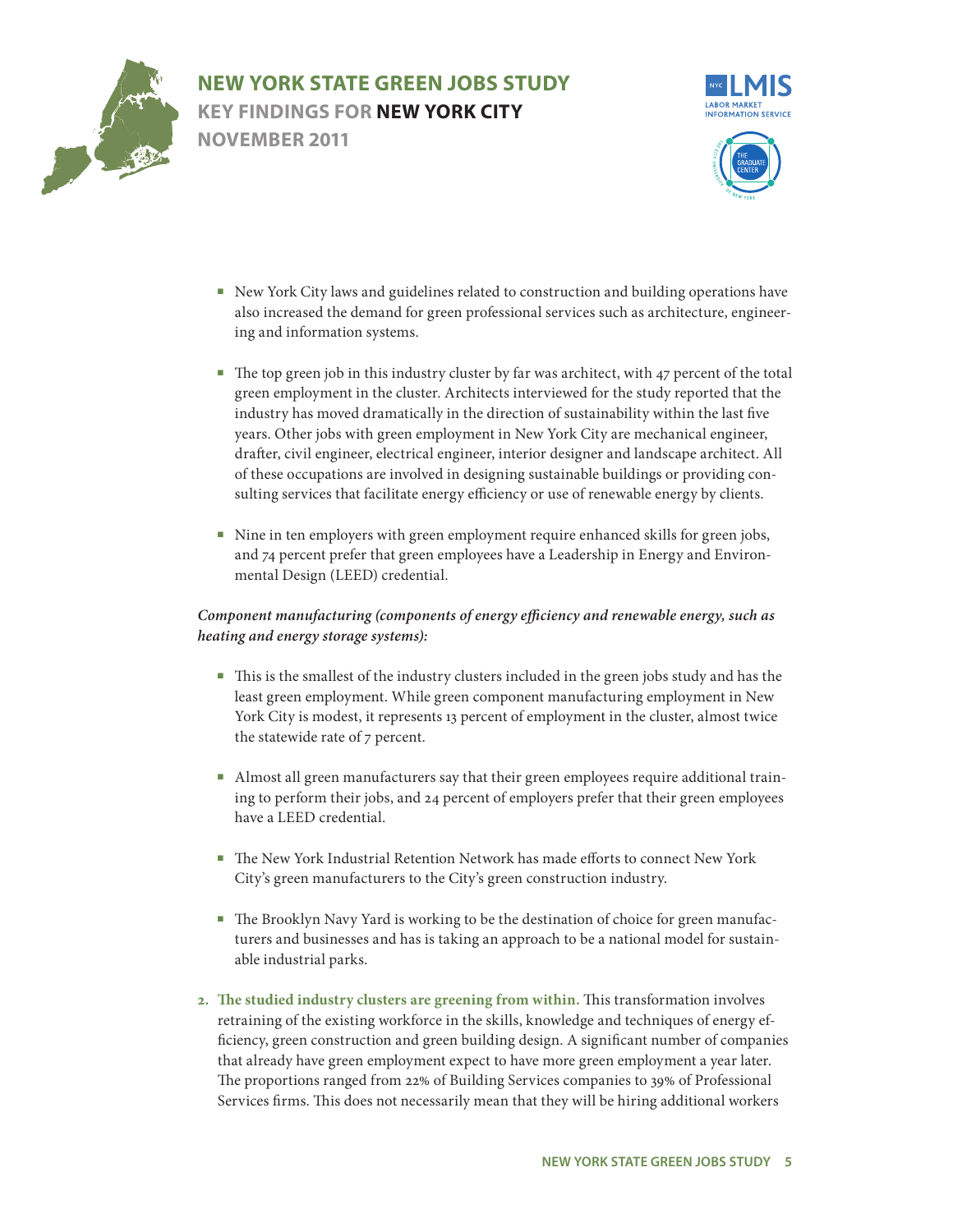



- related to construc also increased the demand for green professional services such as architecture, engineer-New York City laws and guidelines related to construction and building operations have ing and information systems.
- sulting services that facilitate energy efficiency or use of renewable energy by clients.  $\frac{1}{2}$  luster by far was a rchitects interviewed for the study repo industry has moved dramatically in the direction of sustainability within the last five years. Other jobs with green employment in New York City are mechanical engineer, .<br>gineer, interior des<sup>.</sup> of these occupations are involved in designing sustainable buildings or providing conhitect, with 47 per<mark>e</mark> .<br>drafter, civil engineer, electrical engineer, interior designer and landscape architect. All ■ The top green job in this industry cluster by far was architect, with 47 percent of the total green employment in the cluster. Architects interviewed for the study reported that the
- Nine in ten employers with green employment require enhanced skills for green jobs, and 74 percent prefer that green employees have a Leadership in Energy and Environmental Design (LEED) credential.

### *Component manufacturing (components of energy efficiency and renewable energy, such as heating and energy storage systems):*

- This is the smallest of the industry clusters included in the green jobs study and has the least green employment. While green component manufacturing employment in New York City is modest, it represents 13 percent of employment in the cluster, almost twice the statewide rate of 7 percent.
- Almost all green manufacturers say that their green employees require additional training to perform their jobs, and 24 percent of employers prefer that their green employees have a LEED credential.
- The New York Industrial Retention Network has made efforts to connect New York City's green manufacturers to the City's green construction industry.
- The Brooklyn Navy Yard is working to be the destination of choice for green manufacturers and businesses and has is taking an approach to be a national model for sustainable industrial parks.
- **2. The studied industry clusters are greening from within.** This transformation involves retraining of the existing workforce in the skills, knowledge and techniques of energy efficiency, green construction and green building design. A significant number of companies that already have green employment expect to have more green employment a year later. The proportions ranged from 22% of Building Services companies to 39% of Professional Services firms. This does not necessarily mean that they will be hiring additional workers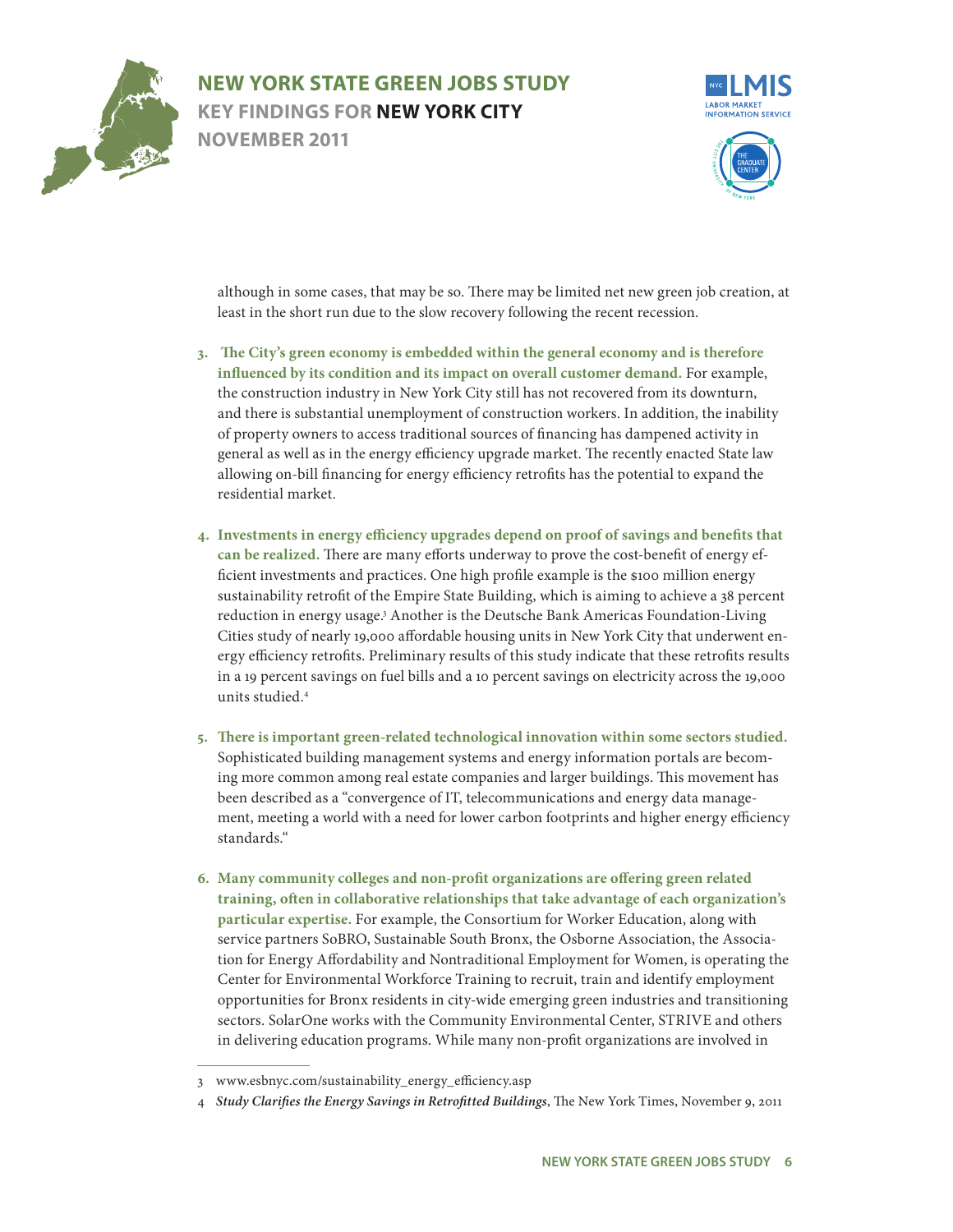



b. There may be lim least in the short run due to the slow recovery following the recent recession. although in some cases, that may be so. There may be limited net new green job creation, at

- 3. The City's green economy is embedded within the general economy and is therefore **ndiscution** is mean *a* k City still has not recovered from its d<sub>'</sub> and there is substantial unemployment of construction workers. In addition, the inability of property owners to access traditional sources of financing has dampened activity in ncy upgrade marke allowing on-bill financing for energy efficiency retrofits has the potential to expand the tomer demand. Fo general as well as in the energy efficiency upgrade market. The recently enacted State law influenced by its condition and its impact on overall customer demand. For example, the construction industry in New York City still has not recovered from its downturn, residential market.
- **4. Investments in energy efficiency upgrades depend on proof of savings and benefits that can be realized.** There are many efforts underway to prove the cost-benefit of energy efficient investments and practices. One high profile example is the \$100 million energy sustainability retrofit of the Empire State Building, which is aiming to achieve a 38 percent reduction in energy usage.<sup>3</sup> Another is the Deutsche Bank Americas Foundation-Living Cities study of nearly 19,000 affordable housing units in New York City that underwent energy efficiency retrofits. Preliminary results of this study indicate that these retrofits results in a 19 percent savings on fuel bills and a 10 percent savings on electricity across the 19,000 units studied.4
- **5. There is important green-related technological innovation within some sectors studied.** Sophisticated building management systems and energy information portals are becoming more common among real estate companies and larger buildings. This movement has been described as a "convergence of IT, telecommunications and energy data management, meeting a world with a need for lower carbon footprints and higher energy efficiency standards."
- **6. Many community colleges and non-profit organizations are offering green related training, often in collaborative relationships that take advantage of each organization's particular expertise.** For example, the Consortium for Worker Education, along with service partners SoBRO, Sustainable South Bronx, the Osborne Association, the Association for Energy Affordability and Nontraditional Employment for Women, is operating the Center for Environmental Workforce Training to recruit, train and identify employment opportunities for Bronx residents in city-wide emerging green industries and transitioning sectors. SolarOne works with the Community Environmental Center, STRIVE and others in delivering education programs. While many non-profit organizations are involved in

<sup>3</sup> www.esbnyc.com/sustainability\_energy\_efficiency.asp

<sup>4</sup> *Study Clarifies the Energy Savings in Retrofitted Buildings*, The New York Times, November 9, 2011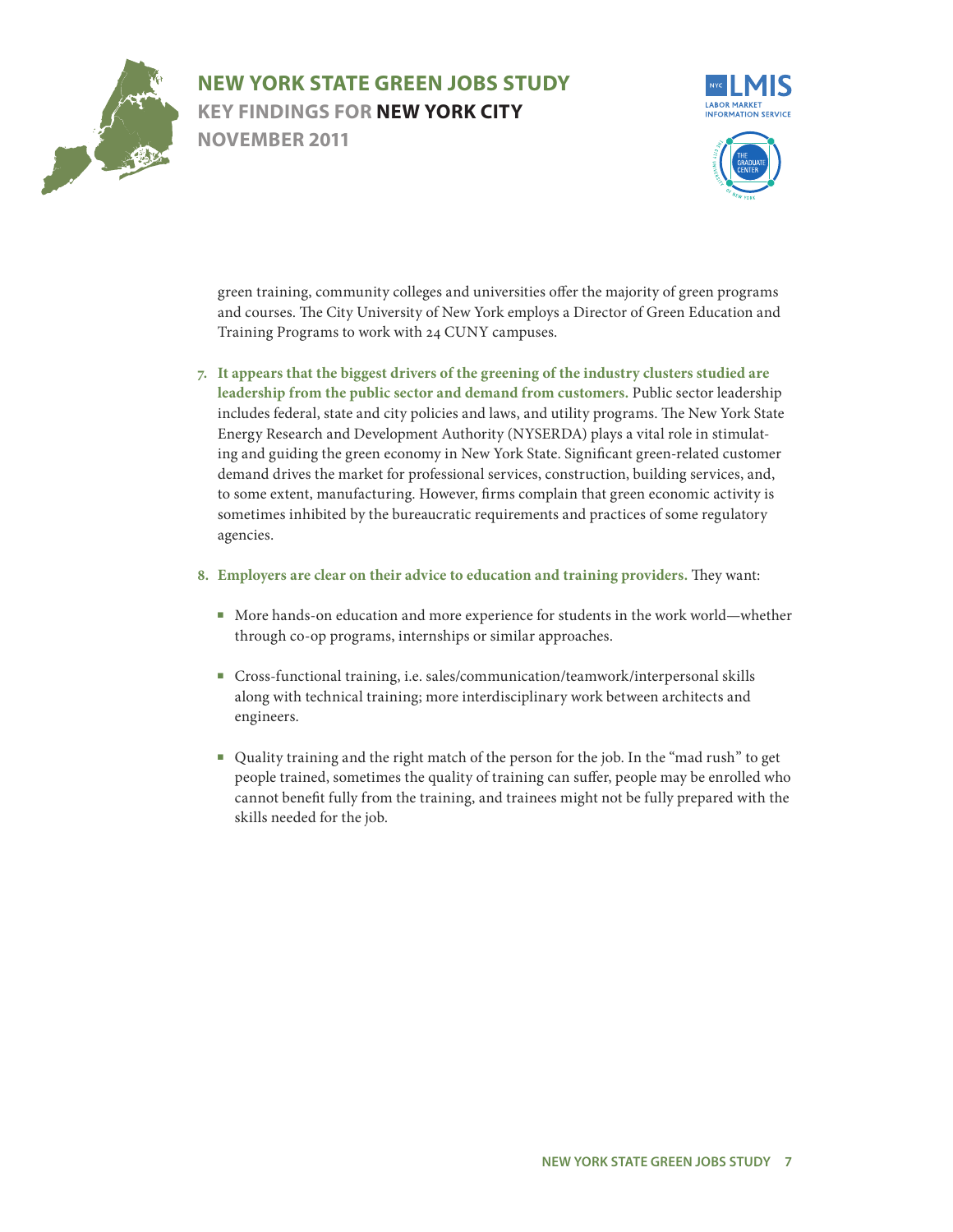



nd universities offe and courses. The City University of New York employs a Director of Green Education and Training Programs to work with 24 CUNY campuses. green training, community colleges and universities offer the majority of green programs

- to some extent, manufacturing. However, firms complain that green economic activity is the greening of th <mark>d demand from customers.</mark> Public sect includes federal, state and city policies and laws, and utility programs. The New York State Energy Research and Development Authority (NYSERDA) plays a vital role in stimulat-**New York State. S** demand drives the market for professional services, construction, building services, and, industry clusters ing and guiding the green economy in New York State. Significant green-related customer This industry group is made up of establishments **7. It appears that the biggest drivers of the greening of the industry clusters studied are**  leadership from the public sector and demand from customers. Public sector leadership sometimes inhibited by the bureaucratic requirements and practices of some regulatory agencies.
- **8. Employers are clear on their advice to education and training providers.** They want:
	- More hands-on education and more experience for students in the work world—whether through co-op programs, internships or similar approaches.
	- Cross-functional training, i.e. sales/communication/teamwork/interpersonal skills along with technical training; more interdisciplinary work between architects and engineers.
	- Quality training and the right match of the person for the job. In the "mad rush" to get people trained, sometimes the quality of training can suffer, people may be enrolled who cannot benefit fully from the training, and trainees might not be fully prepared with the skills needed for the job.